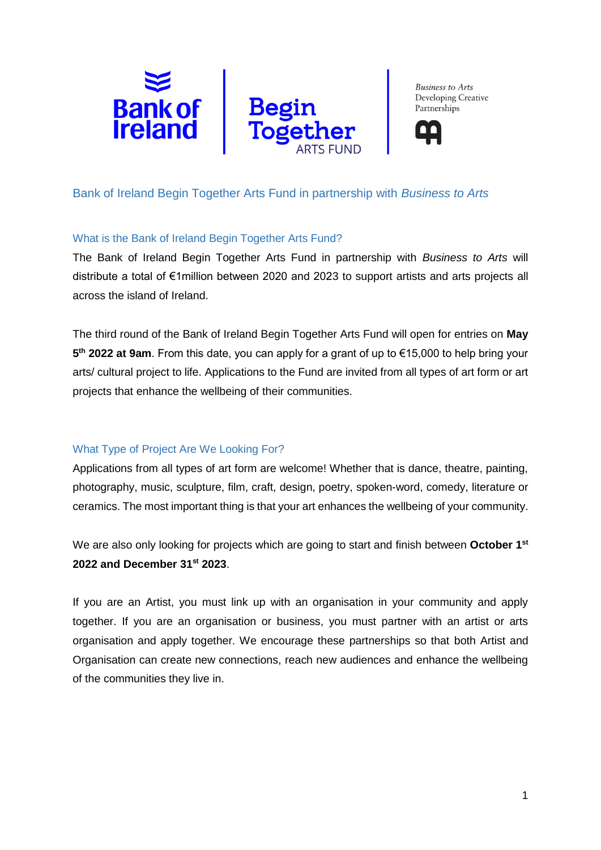



# Bank of Ireland Begin Together Arts Fund in partnership with *Business to Arts*

#### What is the Bank of Ireland Begin Together Arts Fund?

The Bank of Ireland Begin Together Arts Fund in partnership with *Business to Arts* will distribute a total of €1million between 2020 and 2023 to support artists and arts projects all across the island of Ireland.

The third round of the Bank of Ireland Begin Together Arts Fund will open for entries on **May 5 th 2022 at 9am**. From this date, you can apply for a grant of up to €15,000 to help bring your arts/ cultural project to life. Applications to the Fund are invited from all types of art form or art projects that enhance the wellbeing of their communities.

# What Type of Project Are We Looking For?

Applications from all types of art form are welcome! Whether that is dance, theatre, painting, photography, music, sculpture, film, craft, design, poetry, spoken-word, comedy, literature or ceramics. The most important thing is that your art enhances the wellbeing of your community.

We are also only looking for projects which are going to start and finish between October 1<sup>st</sup> **2022 and December 31st 2023**.

If you are an Artist, you must link up with an organisation in your community and apply together. If you are an organisation or business, you must partner with an artist or arts organisation and apply together. We encourage these partnerships so that both Artist and Organisation can create new connections, reach new audiences and enhance the wellbeing of the communities they live in.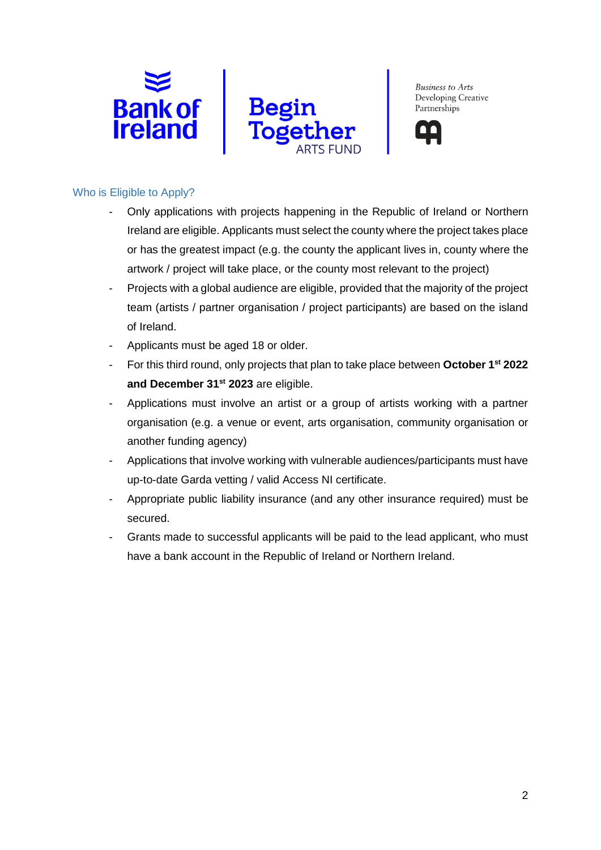





#### Who is Eligible to Apply?

- Only applications with projects happening in the Republic of Ireland or Northern Ireland are eligible. Applicants must select the county where the project takes place or has the greatest impact (e.g. the county the applicant lives in, county where the artwork / project will take place, or the county most relevant to the project)
- Projects with a global audience are eligible, provided that the majority of the project team (artists / partner organisation / project participants) are based on the island of Ireland.
- Applicants must be aged 18 or older.
- For this third round, only projects that plan to take place between **October 1 st 2022 and December 31st 2023** are eligible.
- Applications must involve an artist or a group of artists working with a partner organisation (e.g. a venue or event, arts organisation, community organisation or another funding agency)
- Applications that involve working with vulnerable audiences/participants must have up-to-date Garda vetting / valid Access NI certificate.
- Appropriate public liability insurance (and any other insurance required) must be secured.
- Grants made to successful applicants will be paid to the lead applicant, who must have a bank account in the Republic of Ireland or Northern Ireland.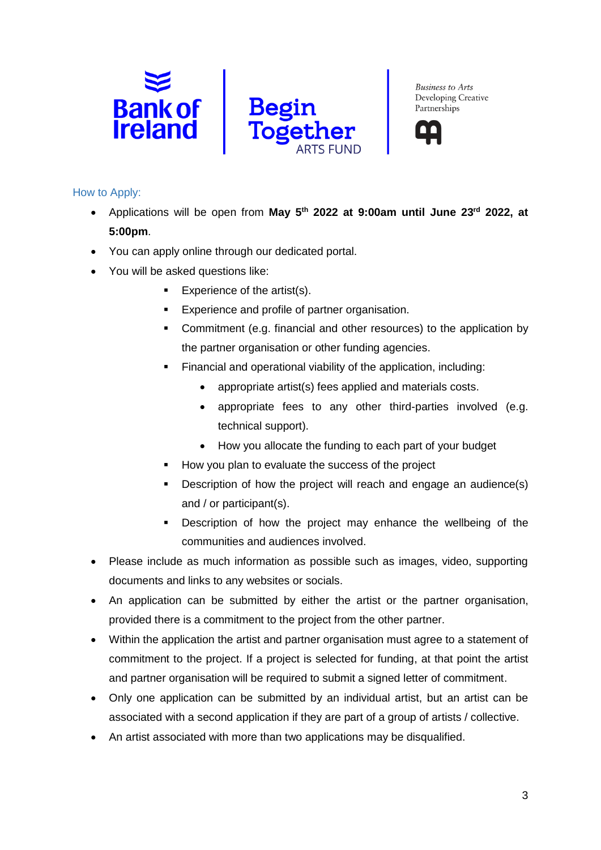



#### How to Apply:

- Applications will be open from **May 5th 2022 at 9:00am until June 23rd 2022, at 5:00pm**.
- You can apply online through our dedicated portal.
- You will be asked questions like:
	- Experience of the artist(s).
	- **Experience and profile of partner organisation.**
	- Commitment (e.g. financial and other resources) to the application by the partner organisation or other funding agencies.
	- Financial and operational viability of the application, including:
		- appropriate artist(s) fees applied and materials costs.
		- appropriate fees to any other third-parties involved (e.g. technical support).
		- How you allocate the funding to each part of your budget
	- How you plan to evaluate the success of the project
	- Description of how the project will reach and engage an audience(s) and / or participant(s).
	- **EXE** Description of how the project may enhance the wellbeing of the communities and audiences involved.
- Please include as much information as possible such as images, video, supporting documents and links to any websites or socials.
- An application can be submitted by either the artist or the partner organisation, provided there is a commitment to the project from the other partner.
- Within the application the artist and partner organisation must agree to a statement of commitment to the project. If a project is selected for funding, at that point the artist and partner organisation will be required to submit a signed letter of commitment.
- Only one application can be submitted by an individual artist, but an artist can be associated with a second application if they are part of a group of artists / collective.
- An artist associated with more than two applications may be disqualified.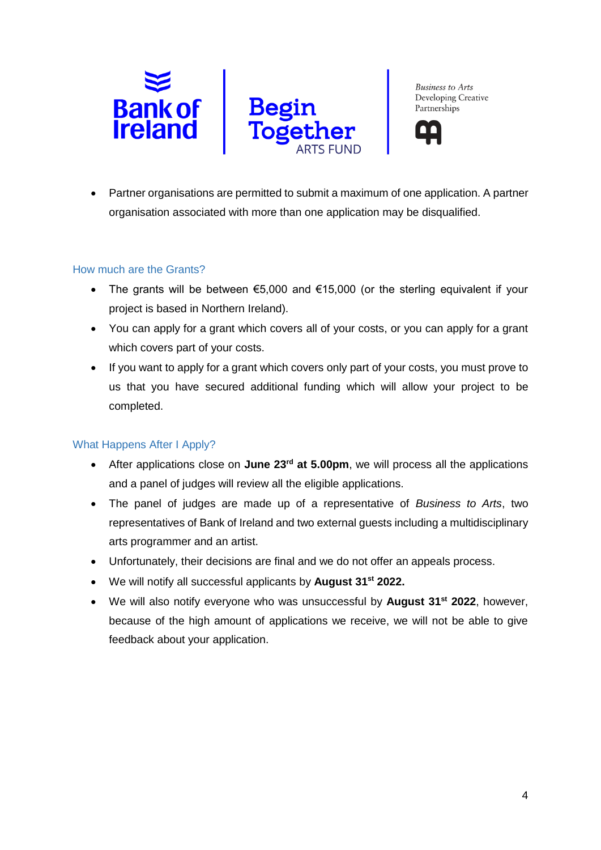



• Partner organisations are permitted to submit a maximum of one application. A partner organisation associated with more than one application may be disqualified.

## How much are the Grants?

- The grants will be between €5,000 and €15,000 (or the sterling equivalent if your project is based in Northern Ireland).
- You can apply for a grant which covers all of your costs, or you can apply for a grant which covers part of your costs.
- If you want to apply for a grant which covers only part of your costs, you must prove to us that you have secured additional funding which will allow your project to be completed.

## What Happens After I Apply?

- After applications close on June 23<sup>rd</sup> at 5.00pm, we will process all the applications and a panel of judges will review all the eligible applications.
- The panel of judges are made up of a representative of *Business to Arts*, two representatives of Bank of Ireland and two external guests including a multidisciplinary arts programmer and an artist.
- Unfortunately, their decisions are final and we do not offer an appeals process.
- We will notify all successful applicants by **August 31st 2022.**
- We will also notify everyone who was unsuccessful by **August 31st 2022**, however, because of the high amount of applications we receive, we will not be able to give feedback about your application.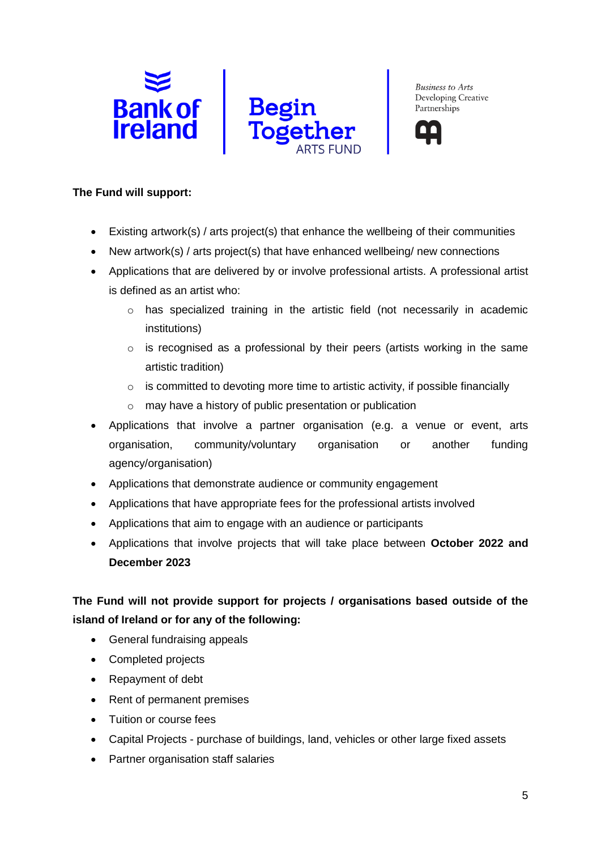





#### **The Fund will support:**

- Existing artwork(s) / arts project(s) that enhance the wellbeing of their communities
- New artwork(s) / arts project(s) that have enhanced wellbeing/ new connections
- Applications that are delivered by or involve professional artists. A professional artist is defined as an artist who:
	- o has specialized training in the artistic field (not necessarily in academic institutions)
	- $\circ$  is recognised as a professional by their peers (artists working in the same artistic tradition)
	- o is committed to devoting more time to artistic activity, if possible financially
	- o may have a history of public presentation or publication
- Applications that involve a partner organisation (e.g. a venue or event, arts organisation, community/voluntary organisation or another funding agency/organisation)
- Applications that demonstrate audience or community engagement
- Applications that have appropriate fees for the professional artists involved
- Applications that aim to engage with an audience or participants
- Applications that involve projects that will take place between **October 2022 and December 2023**

# **The Fund will not provide support for projects / organisations based outside of the island of Ireland or for any of the following:**

- General fundraising appeals
- Completed projects
- Repayment of debt
- Rent of permanent premises
- Tuition or course fees
- Capital Projects purchase of buildings, land, vehicles or other large fixed assets
- Partner organisation staff salaries